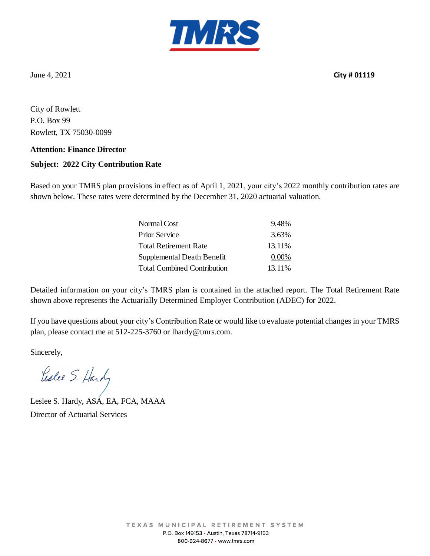

June 4, 2021 **City # 01119**

City of Rowlett P.O. Box 99 Rowlett, TX 75030-0099

#### **Attention: Finance Director**

### **Subject: 2022 City Contribution Rate**

Based on your TMRS plan provisions in effect as of April 1, 2021, your city's 2022 monthly contribution rates are shown below. These rates were determined by the December 31, 2020 actuarial valuation.

| Normal Cost                        | 9.48%    |
|------------------------------------|----------|
| <b>Prior Service</b>               | 3.63%    |
| <b>Total Retirement Rate</b>       | 13.11%   |
| Supplemental Death Benefit         | $0.00\%$ |
| <b>Total Combined Contribution</b> | 13.11%   |

Detailed information on your city's TMRS plan is contained in the attached report. The Total Retirement Rate shown above represents the Actuarially Determined Employer Contribution (ADEC) for 2022.

If you have questions about your city's Contribution Rate or would like to evaluate potential changes in your TMRS plan, please contact me at 512-225-3760 or lhardy@tmrs.com.

Sincerely,

Leslee S. Hardy

Leslee S. Hardy, ASA, EA, FCA, MAAA Director of Actuarial Services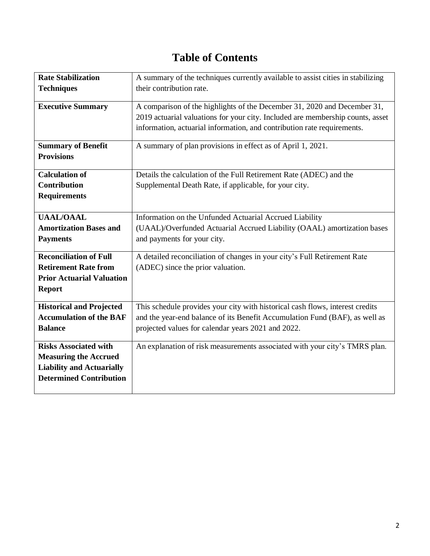## **Table of Contents**

| <b>Rate Stabilization</b><br><b>Techniques</b> | A summary of the techniques currently available to assist cities in stabilizing<br>their contribution rate. |
|------------------------------------------------|-------------------------------------------------------------------------------------------------------------|
|                                                |                                                                                                             |
| <b>Executive Summary</b>                       | A comparison of the highlights of the December 31, 2020 and December 31,                                    |
|                                                | 2019 actuarial valuations for your city. Included are membership counts, asset                              |
|                                                | information, actuarial information, and contribution rate requirements.                                     |
|                                                |                                                                                                             |
| <b>Summary of Benefit</b>                      | A summary of plan provisions in effect as of April 1, 2021.                                                 |
| <b>Provisions</b>                              |                                                                                                             |
| <b>Calculation of</b>                          | Details the calculation of the Full Retirement Rate (ADEC) and the                                          |
| <b>Contribution</b>                            | Supplemental Death Rate, if applicable, for your city.                                                      |
| <b>Requirements</b>                            |                                                                                                             |
|                                                |                                                                                                             |
| <b>UAAL/OAAL</b>                               | Information on the Unfunded Actuarial Accrued Liability                                                     |
| <b>Amortization Bases and</b>                  | (UAAL)/Overfunded Actuarial Accrued Liability (OAAL) amortization bases                                     |
| <b>Payments</b>                                | and payments for your city.                                                                                 |
|                                                |                                                                                                             |
| <b>Reconciliation of Full</b>                  | A detailed reconciliation of changes in your city's Full Retirement Rate                                    |
| <b>Retirement Rate from</b>                    | (ADEC) since the prior valuation.                                                                           |
| <b>Prior Actuarial Valuation</b>               |                                                                                                             |
| <b>Report</b>                                  |                                                                                                             |
| <b>Historical and Projected</b>                | This schedule provides your city with historical cash flows, interest credits                               |
| <b>Accumulation of the BAF</b>                 | and the year-end balance of its Benefit Accumulation Fund (BAF), as well as                                 |
| <b>Balance</b>                                 | projected values for calendar years 2021 and 2022.                                                          |
|                                                |                                                                                                             |
| <b>Risks Associated with</b>                   | An explanation of risk measurements associated with your city's TMRS plan.                                  |
| <b>Measuring the Accrued</b>                   |                                                                                                             |
| <b>Liability and Actuarially</b>               |                                                                                                             |
| <b>Determined Contribution</b>                 |                                                                                                             |
|                                                |                                                                                                             |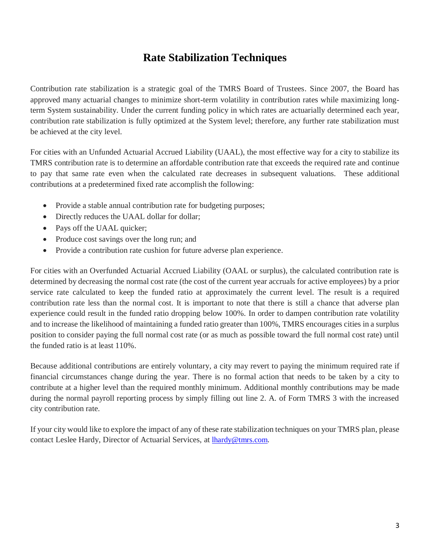### **Rate Stabilization Techniques**

Contribution rate stabilization is a strategic goal of the TMRS Board of Trustees. Since 2007, the Board has approved many actuarial changes to minimize short-term volatility in contribution rates while maximizing longterm System sustainability. Under the current funding policy in which rates are actuarially determined each year, contribution rate stabilization is fully optimized at the System level; therefore, any further rate stabilization must be achieved at the city level.

For cities with an Unfunded Actuarial Accrued Liability (UAAL), the most effective way for a city to stabilize its TMRS contribution rate is to determine an affordable contribution rate that exceeds the required rate and continue to pay that same rate even when the calculated rate decreases in subsequent valuations. These additional contributions at a predetermined fixed rate accomplish the following:

- Provide a stable annual contribution rate for budgeting purposes;
- Directly reduces the UAAL dollar for dollar;
- Pays off the UAAL quicker;
- Produce cost savings over the long run; and
- Provide a contribution rate cushion for future adverse plan experience.

For cities with an Overfunded Actuarial Accrued Liability (OAAL or surplus), the calculated contribution rate is determined by decreasing the normal cost rate (the cost of the current year accruals for active employees) by a prior service rate calculated to keep the funded ratio at approximately the current level. The result is a required contribution rate less than the normal cost. It is important to note that there is still a chance that adverse plan experience could result in the funded ratio dropping below 100%. In order to dampen contribution rate volatility and to increase the likelihood of maintaining a funded ratio greater than 100%, TMRS encourages cities in a surplus position to consider paying the full normal cost rate (or as much as possible toward the full normal cost rate) until the funded ratio is at least 110%.

Because additional contributions are entirely voluntary, a city may revert to paying the minimum required rate if financial circumstances change during the year. There is no formal action that needs to be taken by a city to contribute at a higher level than the required monthly minimum. Additional monthly contributions may be made during the normal payroll reporting process by simply filling out line 2. A. of Form TMRS 3 with the increased city contribution rate.

If your city would like to explore the impact of any of these rate stabilization techniques on your TMRS plan, please contact Leslee Hardy, Director of Actuarial Services, at **lhardy@tmrs.com**.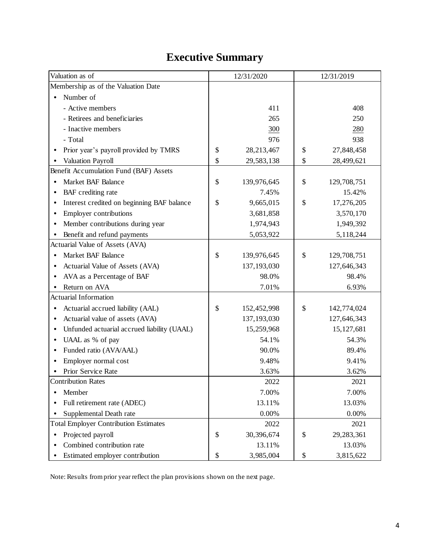# **Executive Summary**

| Valuation as of                                          | 12/31/2020 |               | 12/31/2019    |              |
|----------------------------------------------------------|------------|---------------|---------------|--------------|
| Membership as of the Valuation Date                      |            |               |               |              |
| Number of<br>$\bullet$                                   |            |               |               |              |
| - Active members                                         |            | 411           |               | 408          |
| - Retirees and beneficiaries                             |            | 265           |               | 250          |
| - Inactive members                                       |            | 300           |               | 280          |
| - Total                                                  |            | 976           |               | 938          |
| Prior year's payroll provided by TMRS                    | \$         | 28,213,467    | \$            | 27,848,458   |
| Valuation Payroll                                        | \$         | 29,583,138    | $\mathcal{S}$ | 28,499,621   |
| Benefit Accumulation Fund (BAF) Assets                   |            |               |               |              |
| Market BAF Balance<br>$\bullet$                          | \$         | 139,976,645   | \$            | 129,708,751  |
| BAF crediting rate                                       |            | 7.45%         |               | 15.42%       |
| Interest credited on beginning BAF balance<br>$\bullet$  | \$         | 9,665,015     | \$            | 17,276,205   |
| Employer contributions<br>$\bullet$                      |            | 3,681,858     |               | 3,570,170    |
| Member contributions during year<br>$\bullet$            |            | 1,974,943     |               | 1,949,392    |
| Benefit and refund payments                              |            | 5,053,922     |               | 5,118,244    |
| Actuarial Value of Assets (AVA)                          |            |               |               |              |
| Market BAF Balance                                       | \$         | 139,976,645   | \$            | 129,708,751  |
| Actuarial Value of Assets (AVA)<br>$\bullet$             |            | 137,193,030   |               | 127,646,343  |
| AVA as a Percentage of BAF                               |            | 98.0%         |               | 98.4%        |
| Return on AVA                                            |            | 7.01%         |               | 6.93%        |
| <b>Actuarial Information</b>                             |            |               |               |              |
| Actuarial accrued liability (AAL)<br>$\bullet$           | \$         | 152,452,998   | \$            | 142,774,024  |
| Actuarial value of assets (AVA)                          |            | 137, 193, 030 |               | 127,646,343  |
| Unfunded actuarial accrued liability (UAAL)<br>$\bullet$ |            | 15,259,968    |               | 15, 127, 681 |
| UAAL as % of pay                                         |            | 54.1%         |               | 54.3%        |
| Funded ratio (AVA/AAL)<br>$\bullet$                      |            | 90.0%         |               | 89.4%        |
| Employer normal cost                                     |            | 9.48%         |               | 9.41%        |
| Prior Service Rate                                       |            | 3.63%         |               | 3.62%        |
| <b>Contribution Rates</b>                                |            | 2022          |               | 2021         |
| Member<br>$\bullet$                                      |            | 7.00%         |               | 7.00%        |
| Full retirement rate (ADEC)                              |            | 13.11%        |               | 13.03%       |
| Supplemental Death rate                                  |            | 0.00%         |               | 0.00%        |
| <b>Total Employer Contribution Estimates</b>             |            | 2022          |               | 2021         |
| Projected payroll<br>$\bullet$                           | \$         | 30,396,674    | \$            | 29,283,361   |
| Combined contribution rate                               |            | 13.11%        |               | 13.03%       |
| Estimated employer contribution                          | \$         | 3,985,004     | \$            | 3,815,622    |

Note: Results from prior year reflect the plan provisions shown on the next page.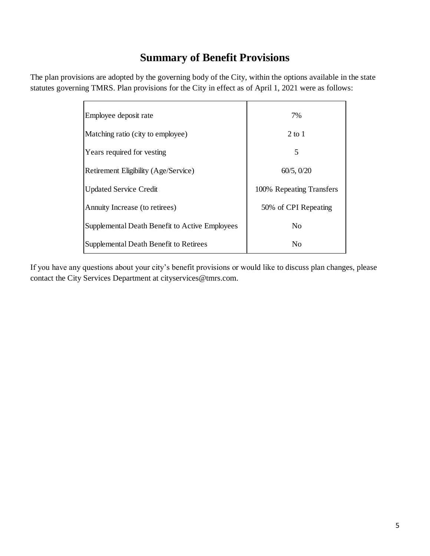### **Summary of Benefit Provisions**

The plan provisions are adopted by the governing body of the City, within the options available in the state statutes governing TMRS. Plan provisions for the City in effect as of April 1, 2021 were as follows:

| Employee deposit rate                          | 7%                       |
|------------------------------------------------|--------------------------|
| Matching ratio (city to employee)              | 2 to 1                   |
| Years required for vesting                     | 5                        |
| Retirement Eligibility (Age/Service)           | 60/5, 0/20               |
| <b>Updated Service Credit</b>                  | 100% Repeating Transfers |
| Annuity Increase (to retirees)                 | 50% of CPI Repeating     |
| Supplemental Death Benefit to Active Employees | N <sub>0</sub>           |
| Supplemental Death Benefit to Retirees         | N <sub>0</sub>           |

If you have any questions about your city's benefit provisions or would like to discuss plan changes, please contact the City Services Department at cityservices@tmrs.com.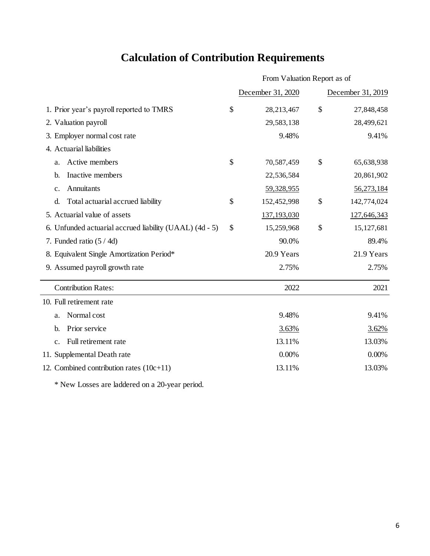# **Calculation of Contribution Requirements**

|                                                         | From Valuation Report as of |                   |    |                   |
|---------------------------------------------------------|-----------------------------|-------------------|----|-------------------|
|                                                         |                             | December 31, 2020 |    | December 31, 2019 |
| 1. Prior year's payroll reported to TMRS                | \$                          | 28,213,467        | \$ | 27,848,458        |
| 2. Valuation payroll                                    |                             | 29,583,138        |    | 28,499,621        |
| 3. Employer normal cost rate                            |                             | 9.48%             |    | 9.41%             |
| 4. Actuarial liabilities                                |                             |                   |    |                   |
| Active members<br>a.                                    | \$                          | 70,587,459        | \$ | 65,638,938        |
| Inactive members<br>b.                                  |                             | 22,536,584        |    | 20,861,902        |
| Annuitants<br>c.                                        |                             | 59,328,955        |    | 56,273,184        |
| Total actuarial accrued liability<br>d.                 | \$                          | 152,452,998       | \$ | 142,774,024       |
| 5. Actuarial value of assets                            |                             | 137, 193, 030     |    | 127,646,343       |
| 6. Unfunded actuarial accrued liability (UAAL) (4d - 5) | \$                          | 15,259,968        | \$ | 15, 127, 681      |
| 7. Funded ratio $(5 / 4d)$                              |                             | 90.0%             |    | 89.4%             |
| 8. Equivalent Single Amortization Period*               |                             | 20.9 Years        |    | 21.9 Years        |
| 9. Assumed payroll growth rate                          |                             | 2.75%             |    | 2.75%             |
| <b>Contribution Rates:</b>                              |                             | 2022              |    | 2021              |
| 10. Full retirement rate                                |                             |                   |    |                   |
| Normal cost<br>a.                                       |                             | 9.48%             |    | 9.41%             |
| Prior service<br>b.                                     |                             | 3.63%             |    | 3.62%             |
| Full retirement rate<br>$\mathbf{c}$ .                  |                             | 13.11%            |    | 13.03%            |
| 11. Supplemental Death rate                             |                             | 0.00%             |    | 0.00%             |
| 12. Combined contribution rates $(10c+11)$              |                             | 13.11%            |    | 13.03%            |

\* New Losses are laddered on a 20-year period.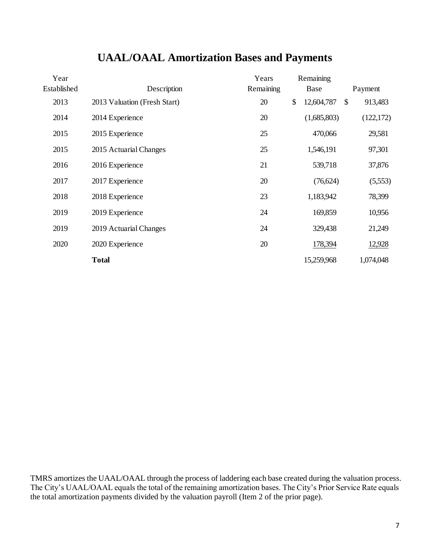| Year        |                              | Years     | Remaining        |              |            |
|-------------|------------------------------|-----------|------------------|--------------|------------|
| Established | Description                  | Remaining | Base             |              | Payment    |
| 2013        | 2013 Valuation (Fresh Start) | 20        | \$<br>12,604,787 | $\mathbb{S}$ | 913,483    |
| 2014        | 2014 Experience              | 20        | (1,685,803)      |              | (122, 172) |
| 2015        | 2015 Experience              | 25        | 470,066          |              | 29,581     |
| 2015        | 2015 Actuarial Changes       | 25        | 1,546,191        |              | 97,301     |
| 2016        | 2016 Experience              | 21        | 539,718          |              | 37,876     |
| 2017        | 2017 Experience              | 20        | (76,624)         |              | (5,553)    |
| 2018        | 2018 Experience              | 23        | 1,183,942        |              | 78,399     |
| 2019        | 2019 Experience              | 24        | 169,859          |              | 10,956     |
| 2019        | 2019 Actuarial Changes       | 24        | 329,438          |              | 21,249     |
| 2020        | 2020 Experience              | 20        | 178,394          |              | 12,928     |
|             | <b>Total</b>                 |           | 15,259,968       |              | 1,074,048  |

### **UAAL/OAAL Amortization Bases and Payments**

TMRS amortizes the UAAL/OAAL through the process of laddering each base created during the valuation process. The City's UAAL/OAAL equals the total of the remaining amortization bases. The City's Prior Service Rate equals the total amortization payments divided by the valuation payroll (Item 2 of the prior page).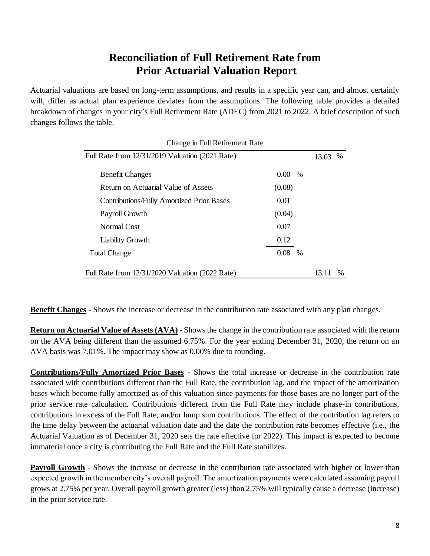### **Reconciliation of Full Retirement Rate from Prior Actuarial Valuation Report**

Actuarial valuations are based on long-term assumptions, and results in a specific year can, and almost certainly will, differ as actual plan experience deviates from the assumptions. The following table provides a detailed breakdown of changes in your city's Full Retirement Rate (ADEC) from 2021 to 2022. A brief description of such changes follows the table.

| Change in Full Retirement Rate                   |          |      |      |      |  |  |
|--------------------------------------------------|----------|------|------|------|--|--|
| Full Rate from 12/31/2019 Valuation (2021 Rate)  |          |      |      |      |  |  |
| <b>Benefit Changes</b>                           | $0.00 -$ | $\%$ |      |      |  |  |
| Return on Actuarial Value of Assets              | (0.08)   |      |      |      |  |  |
| <b>Contributions/Fully Amortized Prior Bases</b> | 0.01     |      |      |      |  |  |
| Payroll Growth                                   | (0.04)   |      |      |      |  |  |
| Normal Cost                                      | 0.07     |      |      |      |  |  |
| Liability Growth                                 | 0.12     |      |      |      |  |  |
| <b>Total Change</b>                              | 0.08     | $\%$ |      |      |  |  |
| Full Rate from 12/31/2020 Valuation (2022 Rate)  |          |      | 13 H | $\%$ |  |  |

**Benefit Changes** - Shows the increase or decrease in the contribution rate associated with any plan changes.

**Return on Actuarial Value of Assets (AVA)** - Shows the change in the contribution rate associated with the return on the AVA being different than the assumed 6.75%. For the year ending December 31, 2020, the return on an AVA basis was 7.01%. The impact may show as 0.00% due to rounding.

**Contributions/Fully Amortized Prior Bases** - Shows the total increase or decrease in the contribution rate associated with contributions different than the Full Rate, the contribution lag, and the impact of the amortization bases which become fully amortized as of this valuation since payments for those bases are no longer part of the prior service rate calculation. Contributions different from the Full Rate may include phase-in contributions, contributions in excess of the Full Rate, and/or lump sum contributions. The effect of the contribution lag refers to the time delay between the actuarial valuation date and the date the contribution rate becomes effective (i.e., the Actuarial Valuation as of December 31, 2020 sets the rate effective for 2022). This impact is expected to become immaterial once a city is contributing the Full Rate and the Full Rate stabilizes.

**Payroll Growth** - Shows the increase or decrease in the contribution rate associated with higher or lower than expected growth in the member city's overall payroll. The amortization payments were calculated assuming payroll grows at 2.75% per year. Overall payroll growth greater (less) than 2.75% will typically cause a decrease (increase) in the prior service rate.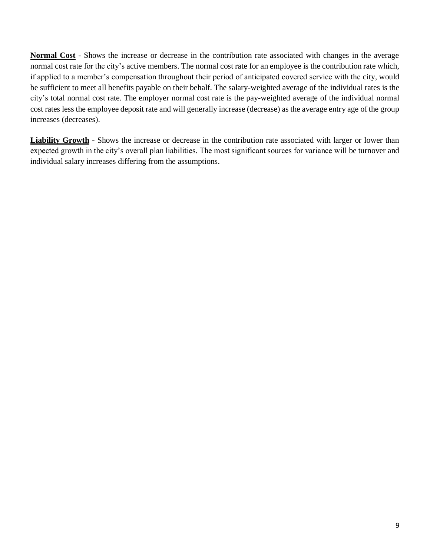**Normal Cost** - Shows the increase or decrease in the contribution rate associated with changes in the average normal cost rate for the city's active members. The normal cost rate for an employee is the contribution rate which, if applied to a member's compensation throughout their period of anticipated covered service with the city, would be sufficient to meet all benefits payable on their behalf. The salary-weighted average of the individual rates is the city's total normal cost rate. The employer normal cost rate is the pay-weighted average of the individual normal cost rates less the employee deposit rate and will generally increase (decrease) as the average entry age of the group increases (decreases).

**Liability Growth** - Shows the increase or decrease in the contribution rate associated with larger or lower than expected growth in the city's overall plan liabilities. The most significant sources for variance will be turnover and individual salary increases differing from the assumptions.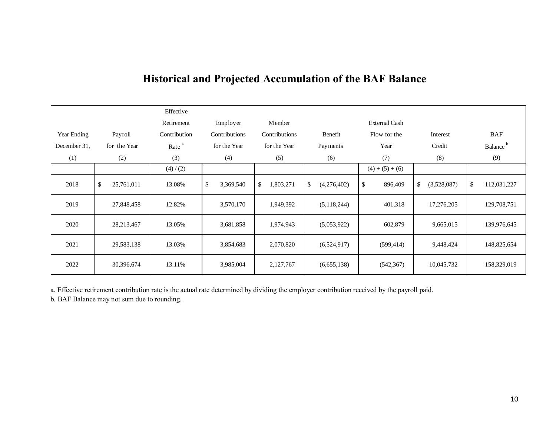|              |                  | Effective         |                 |                 |                   |                      |                   |                      |
|--------------|------------------|-------------------|-----------------|-----------------|-------------------|----------------------|-------------------|----------------------|
|              |                  | Retirement        | Employer        | Member          |                   | <b>External Cash</b> |                   |                      |
| Year Ending  | Payroll          | Contribution      | Contributions   | Contributions   | Benefit           | Flow for the         | Interest          | <b>BAF</b>           |
| December 31, | for the Year     | Rate <sup>a</sup> | for the Year    | for the Year    | Payments          | Year                 | Credit            | Balance <sup>b</sup> |
| (1)          | (2)              | (3)               | (4)             | (5)             | (6)               | (7)                  | (8)               | (9)                  |
|              |                  | (4)/(2)           |                 |                 |                   | $(4) + (5) + (6)$    |                   |                      |
| 2018         | \$<br>25,761,011 | 13.08%            | \$<br>3,369,540 | \$<br>1,803,271 | \$<br>(4,276,402) | $\$$<br>896,409      | \$<br>(3,528,087) | \$<br>112,031,227    |
| 2019         | 27,848,458       | 12.82%            | 3,570,170       | 1,949,392       | (5,118,244)       | 401,318              | 17,276,205        | 129,708,751          |
| 2020         | 28,213,467       | 13.05%            | 3,681,858       | 1,974,943       | (5,053,922)       | 602,879              | 9,665,015         | 139,976,645          |
| 2021         | 29,583,138       | 13.03%            | 3,854,683       | 2,070,820       | (6,524,917)       | (599, 414)           | 9,448,424         | 148,825,654          |
| 2022         | 30,396,674       | 13.11%            | 3,985,004       | 2,127,767       | (6,655,138)       | (542, 367)           | 10,045,732        | 158,329,019          |

## **Historical and Projected Accumulation of the BAF Balance**

a. Effective retirement contribution rate is the actual rate determined by dividing the employer contribution received by the payroll paid.

b. BAF Balance may not sum due to rounding.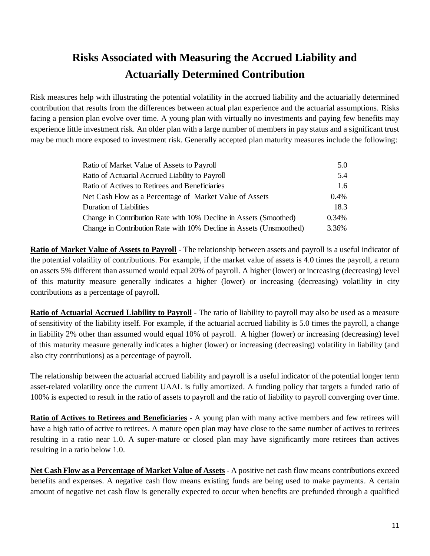# **Risks Associated with Measuring the Accrued Liability and Actuarially Determined Contribution**

Risk measures help with illustrating the potential volatility in the accrued liability and the actuarially determined contribution that results from the differences between actual plan experience and the actuarial assumptions. Risks facing a pension plan evolve over time. A young plan with virtually no investments and paying few benefits may experience little investment risk. An older plan with a large number of members in pay status and a significant trust may be much more exposed to investment risk. Generally accepted plan maturity measures include the following:

| Ratio of Market Value of Assets to Payroll                          | 5.0   |
|---------------------------------------------------------------------|-------|
| Ratio of Actuarial Accrued Liability to Payroll                     | 5.4   |
| Ratio of Actives to Retirees and Beneficiaries                      | 1.6   |
| Net Cash Flow as a Percentage of Market Value of Assets             | 0.4%  |
| Duration of Liabilities                                             | 18.3  |
| Change in Contribution Rate with 10% Decline in Assets (Smoothed)   | 0.34% |
| Change in Contribution Rate with 10% Decline in Assets (Unsmoothed) | 3.36% |

**Ratio of Market Value of Assets to Payroll** - The relationship between assets and payroll is a useful indicator of the potential volatility of contributions. For example, if the market value of assets is 4.0 times the payroll, a return on assets 5% different than assumed would equal 20% of payroll. A higher (lower) or increasing (decreasing) level of this maturity measure generally indicates a higher (lower) or increasing (decreasing) volatility in city contributions as a percentage of payroll.

**Ratio of Actuarial Accrued Liability to Payroll** - The ratio of liability to payroll may also be used as a measure of sensitivity of the liability itself. For example, if the actuarial accrued liability is 5.0 times the payroll, a change in liability 2% other than assumed would equal 10% of payroll. A higher (lower) or increasing (decreasing) level of this maturity measure generally indicates a higher (lower) or increasing (decreasing) volatility in liability (and also city contributions) as a percentage of payroll.

The relationship between the actuarial accrued liability and payroll is a useful indicator of the potential longer term asset-related volatility once the current UAAL is fully amortized. A funding policy that targets a funded ratio of 100% is expected to result in the ratio of assets to payroll and the ratio of liability to payroll converging over time.

**Ratio of Actives to Retirees and Beneficiaries** - A young plan with many active members and few retirees will have a high ratio of active to retirees. A mature open plan may have close to the same number of actives to retirees resulting in a ratio near 1.0. A super-mature or closed plan may have significantly more retirees than actives resulting in a ratio below 1.0.

**Net Cash Flow as a Percentage of Market Value of Assets** - A positive net cash flow means contributions exceed benefits and expenses. A negative cash flow means existing funds are being used to make payments. A certain amount of negative net cash flow is generally expected to occur when benefits are prefunded through a qualified